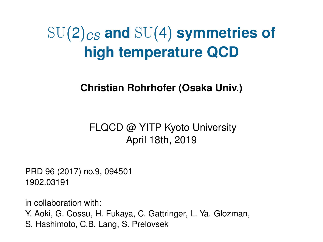# SU(2)*CS* **and** SU(4) **symmetries of high temperature QCD**

**Christian Rohrhofer (Osaka Univ.)**

#### FLQCD @ YITP Kyoto University April 18th, 2019

PRD 96 (2017) no.9, 094501 1902.03191

in collaboration with:

Y. Aoki, G. Cossu, H. Fukaya, C. Gattringer, L. Ya. Glozman,

S. Hashimoto, C.B. Lang, S. Prelovsek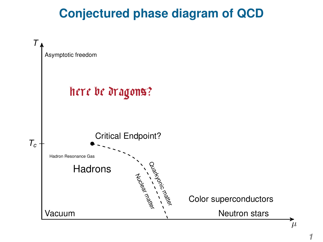#### **Conjectured phase diagram of QCD**



*1*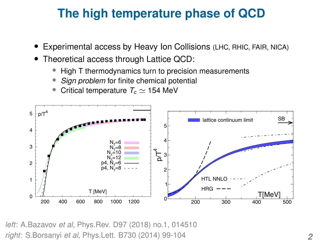### **The high temperature phase of QCD**

- Experimental access by Heavy Ion Collisions (LHC, RHIC, FAIR, NICA)
- Theoretical access through Lattice QCD:
	- High T thermodynamics turn to precision measurements
	- *Sign problem* for finite chemical potential
	- Critical temperature  $T_c \simeq 154$  MeV



*left*: A.Bazavov *et al*, Phys.Rev. D97 (2018) no.1, 014510 *right*: S.Borsanyi *et al*, Phys.Lett. B730 (2014) 99-104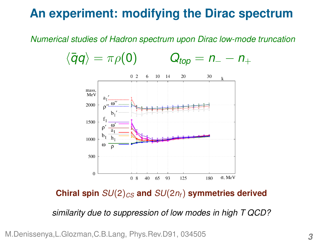#### **An experiment: modifying the Dirac spectrum**

*Numerical studies of Hadron spectrum upon Dirac low-mode truncation*



**Chiral spin**  $SU(2)_{CS}$  and  $SU(2n_f)$  symmetries derived

*similarity due to suppression of low modes in high T QCD?*

M.Denissenya,L.Glozman,C.B.Lang, Phys.Rev.D91, 034505 *3*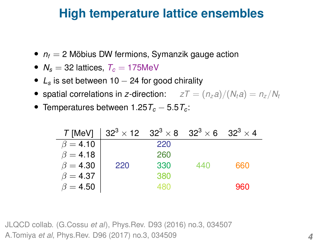#### **High temperature lattice ensembles**

- $n_f = 2$  Möbius DW fermions, Symanzik gauge action
- $N_s = 32$  lattices,  $T_c = 175$ MeV
- *L<sup>s</sup>* is set between 10 − 24 for good chirality
- spatial correlations in *z*-direction:  $zT = (n_z a)/(N_t a) = n_z/N_t$
- Temperatures between 1.25*T<sup>c</sup>* − 5.5*T<sup>c</sup>* :

|                | $T$ [MeV] $ 32^3 \times 12 \quad 32^3 \times 8 \quad 32^3 \times 6 \quad 32^3 \times 4$ |     |     |     |
|----------------|-----------------------------------------------------------------------------------------|-----|-----|-----|
| $\beta = 4.10$ |                                                                                         | 220 |     |     |
| $\beta = 4.18$ |                                                                                         | 260 |     |     |
| $\beta = 4.30$ | 220                                                                                     | 330 | 440 | 660 |
| $\beta = 4.37$ |                                                                                         | 380 |     |     |
| $\beta = 4.50$ |                                                                                         | 480 |     | 960 |

JLQCD collab. (G.Cossu *et al*), Phys.Rev. D93 (2016) no.3, 034507 A.Tomiya *et al*, Phys.Rev. D96 (2017) no.3, 034509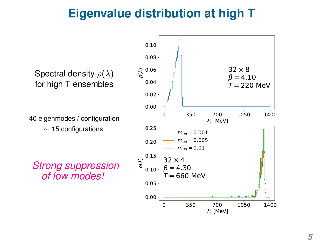#### **Eigenvalue distribution at high T**

Spectral density  $\rho(\lambda)$ for high T ensembles

40 eigenmodes / configuration  $\sim$  15 configurations

*Strong suppression of low modes!*

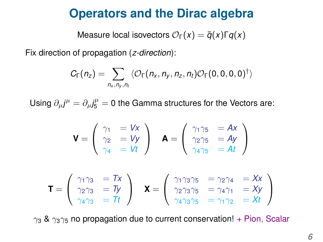#### **Operators and the Dirac algebra**

Measure local isovectors  $\mathcal{O}_{\Gamma}(x) = \overline{q}(x)\Gamma q(x)$ 

Fix direction of propagation (*z-direction*):

$$
C_{\Gamma}(n_z) = \sum_{n_x,n_y,n_t} \langle \mathcal{O}_{\Gamma}(n_x,n_y,n_z,n_t) \mathcal{O}_{\Gamma}(0,0,0,0)^{\dagger} \rangle
$$

Using  $\partial_{\mu}j^{\mu}=\partial_{\mu}j_{5}^{\mu}=0$  the Gamma structures for the Vectors are:

$$
\mathbf{V} = \left( \begin{array}{cc} \gamma_1 & = Vx \\ \gamma_2 & = Vy \\ \gamma_4 & = Vt \end{array} \right) \quad \mathbf{A} = \left( \begin{array}{cc} \gamma_1 \gamma_5 & = Ax \\ \gamma_2 \gamma_5 & = Ay \\ \gamma_4 \gamma_5 & = At \end{array} \right)
$$

$$
\mathbf{T} = \left(\begin{array}{cc}\gamma_1 \gamma_3 &= Tx \\
\gamma_2 \gamma_3 &= Ty \\
\gamma_4 \gamma_3 &= Tt\end{array}\right) \quad \mathbf{X} = \left(\begin{array}{cc}\gamma_1 \gamma_3 \gamma_5 &= \gamma_2 \gamma_4 &= Xx \\
\gamma_2 \gamma_3 \gamma_5 &= \gamma_4 \gamma_1 &= Xy \\
\gamma_4 \gamma_3 \gamma_5 &= \gamma_1 \gamma_2 &= Xt\end{array}\right)
$$

 $\gamma_3$  &  $\gamma_3\gamma_5$  no propagation due to current conservation! + Pion, Scalar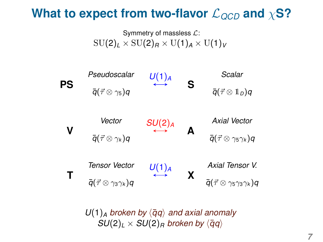#### **What to expect from two-flavor**  $\mathcal{L}_{QCD}$  and  $\chi$ **S?**

Symmetry of massless  $\mathcal{L}$ :  $SU(2)_L \times SU(2)_R \times U(1)_A \times U(1)_V$ 



 $U(1)$ <sub>A</sub> broken by  $\langle \bar{q}q \rangle$  and axial anomaly  $SU(2)_L \times SU(2)_R$  *broken by*  $\langle \bar{q}q \rangle$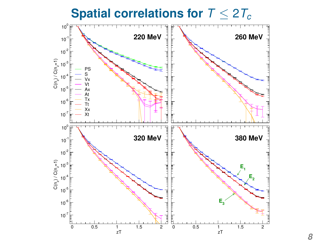**Spatial correlations for**  $T \leq 2T_c$ 

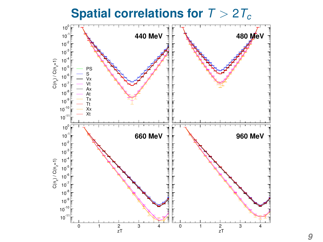**Spatial correlations for** *T* > 2*T<sup>c</sup>*

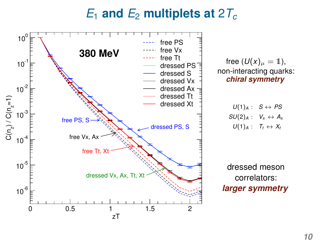#### $E_1$  and  $E_2$  multiplets at 2 $T_c$



free  $(U(x)_\mu = 1)$ , non-interacting quarks: *chiral symmetry*

$$
U(1)_{A}: S \leftrightarrow PS \nSU(2)_{A}: V_{x} \leftrightarrow A_{x} \nU(1)_{A}: T_{t} \leftrightarrow X_{t}
$$

dressed meson correlators: *larger symmetry*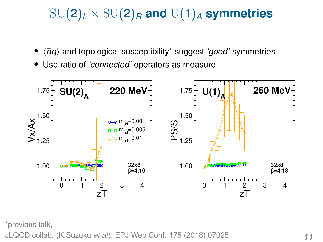## $SU(2)_L \times SU(2)_R$  and  $U(1)_A$  symmetries

- $\bullet$   $\langle \bar{q}q \rangle$  and topological susceptibility\* suggest *'good'* symmetries
- Use ratio of *'connected'* operators as measure



\*previous talk,

JLQCD collab. (K.Suzuku *et al*), EPJ Web Conf. 175 (2018) 07025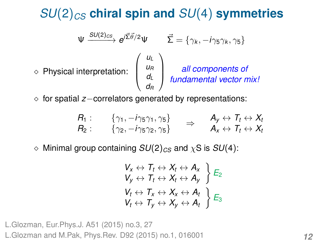#### *SU*(2)*CS* **chiral spin and** *SU*(4) **symmetries**

$$
\Psi \xrightarrow{SU(2)_{CS}} e^{j\vec{\Sigma}\vec{\theta}/2} \Psi \qquad \vec{\Sigma} = \{\gamma_k, -i\gamma_5\gamma_k, \gamma_5\}
$$
\n
$$
\diamond \text{ Physical interpretation:} \begin{pmatrix} u_L \\ u_R \\ d_L \\ d_R \end{pmatrix} \qquad \text{all components of}
$$

for spatial *z*−correlators generated by representations:

$$
R_1: \qquad \{ \gamma_1, -i\gamma_5\gamma_1, \gamma_5 \} \qquad \Rightarrow \qquad A_y \leftrightarrow T_t \leftrightarrow X_t
$$
  

$$
R_2: \qquad \{ \gamma_2, -i\gamma_5\gamma_2, \gamma_5 \} \qquad \Rightarrow \qquad A_x \leftrightarrow T_t \leftrightarrow X_t
$$

 $\Diamond$  Minimal group containing  $SU(2)_{CS}$  and  $\chi$ S is  $SU(4)$ :

$$
V_x \leftrightarrow T_t \leftrightarrow X_t \leftrightarrow A_x
$$
  
\n
$$
V_y \leftrightarrow T_t \leftrightarrow X_t \leftrightarrow A_y
$$
  
\n
$$
V_t \leftrightarrow T_x \leftrightarrow X_x \leftrightarrow A_t
$$
  
\n
$$
V_t \leftrightarrow T_y \leftrightarrow X_y \leftrightarrow A_t
$$
  
\n
$$
\Big\} E_3
$$

L.Glozman, Eur.Phys.J. A51 (2015) no.3, 27 L.Glozman and M.Pak, Phys.Rev. D92 (2015) no.1, 016001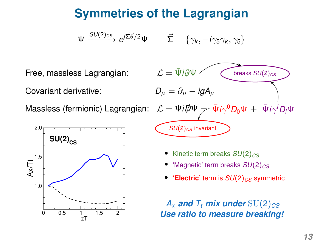### **Symmetries of the Lagrangian**

$$
\Psi \xrightarrow{SU(2)_{CS}} e^{i\vec{\Sigma}\vec{\theta}/2} \Psi \qquad \vec{\Sigma} = \{\gamma_k, -i\gamma_5\gamma_k, \gamma_5\}
$$

Covariant derivative:  $D_{\mu} = \partial_{\mu} - igA_{\mu}$ 

Massless (fermionic) Lagrangian:





- Kinetic term breaks  $SU(2)_{CS}$
- *'Magnetic' term breaks*  $SU(2)_{CS}$
- **'Electric'** term is  $SU(2)_{CS}$  symmetric

 $A_x$  *and*  $T_t$  *mix under* SU(2)<sub>*CS*</sub> *Use ratio to measure breaking!*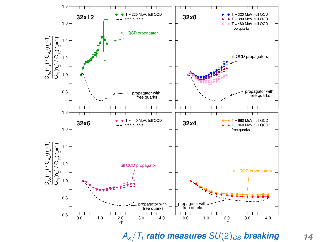

 $A_{x}/T_{t}$  *ratio measures*  $SU(2)_{CS}$  *breaking* 14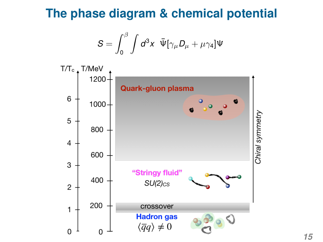#### **The phase diagram & chemical potential**

$$
S = \int_0^\beta \int d^3 x \ \ \bar{\Psi} [\gamma_\mu D_\mu + \mu \gamma_4] \Psi
$$